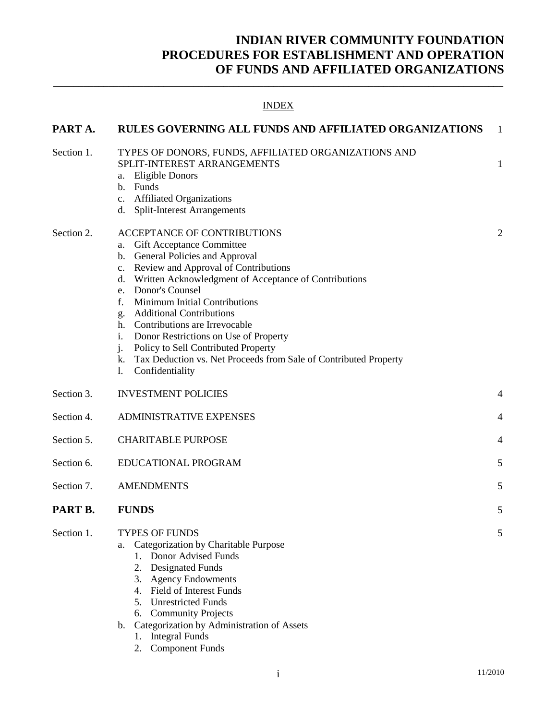# **INDIAN RIVER COMMUNITY FOUNDATION PROCEDURES FOR ESTABLISHMENT AND OPERATION OF FUNDS AND AFFILIATED ORGANIZATIONS**

| <b>INDEX</b> |                                                                                                                                                                                                                                                                                                                                                                                                                                                                                                                                                 |    |  |  |  |
|--------------|-------------------------------------------------------------------------------------------------------------------------------------------------------------------------------------------------------------------------------------------------------------------------------------------------------------------------------------------------------------------------------------------------------------------------------------------------------------------------------------------------------------------------------------------------|----|--|--|--|
| PART A.      | <b>RULES GOVERNING ALL FUNDS AND AFFILIATED ORGANIZATIONS</b>                                                                                                                                                                                                                                                                                                                                                                                                                                                                                   | -1 |  |  |  |
| Section 1.   | TYPES OF DONORS, FUNDS, AFFILIATED ORGANIZATIONS AND<br>SPLIT-INTEREST ARRANGEMENTS<br>a. Eligible Donors<br>b. Funds<br>c. Affiliated Organizations<br>d. Split-Interest Arrangements                                                                                                                                                                                                                                                                                                                                                          | 1  |  |  |  |
| Section 2.   | ACCEPTANCE OF CONTRIBUTIONS<br>a. Gift Acceptance Committee<br>b. General Policies and Approval<br>c. Review and Approval of Contributions<br>d. Written Acknowledgment of Acceptance of Contributions<br>e. Donor's Counsel<br>Minimum Initial Contributions<br>f.<br><b>Additional Contributions</b><br>g.<br>h. Contributions are Irrevocable<br>Donor Restrictions on Use of Property<br>i.<br>$j$ .<br>Policy to Sell Contributed Property<br>k. Tax Deduction vs. Net Proceeds from Sale of Contributed Property<br>1.<br>Confidentiality | 2  |  |  |  |
| Section 3.   | <b>INVESTMENT POLICIES</b>                                                                                                                                                                                                                                                                                                                                                                                                                                                                                                                      | 4  |  |  |  |
| Section 4.   | <b>ADMINISTRATIVE EXPENSES</b>                                                                                                                                                                                                                                                                                                                                                                                                                                                                                                                  | 4  |  |  |  |
| Section 5.   | <b>CHARITABLE PURPOSE</b>                                                                                                                                                                                                                                                                                                                                                                                                                                                                                                                       | 4  |  |  |  |
| Section 6.   | EDUCATIONAL PROGRAM                                                                                                                                                                                                                                                                                                                                                                                                                                                                                                                             | 5  |  |  |  |
| Section 7.   | <b>AMENDMENTS</b>                                                                                                                                                                                                                                                                                                                                                                                                                                                                                                                               | 5  |  |  |  |
| PART B.      | <b>FUNDS</b>                                                                                                                                                                                                                                                                                                                                                                                                                                                                                                                                    | ͻ  |  |  |  |
| Section 1.   | <b>TYPES OF FUNDS</b><br>Categorization by Charitable Purpose<br>a.<br>1. Donor Advised Funds<br>2. Designated Funds<br>3. Agency Endowments<br>4. Field of Interest Funds<br>5. Unrestricted Funds<br>6. Community Projects<br>Categorization by Administration of Assets<br>b.<br><b>Integral Funds</b><br>1.<br><b>Component Funds</b><br>2.                                                                                                                                                                                                 | 5  |  |  |  |

**\_\_\_\_\_\_\_\_\_\_\_\_\_\_\_\_\_\_\_\_\_\_\_\_\_\_\_\_\_\_\_\_\_\_\_\_\_\_\_\_\_\_\_\_\_\_\_\_\_\_\_\_\_\_\_\_\_\_\_\_\_\_\_\_\_\_\_\_\_\_\_\_\_\_\_\_\_\_\_\_\_\_\_\_\_\_\_\_\_\_**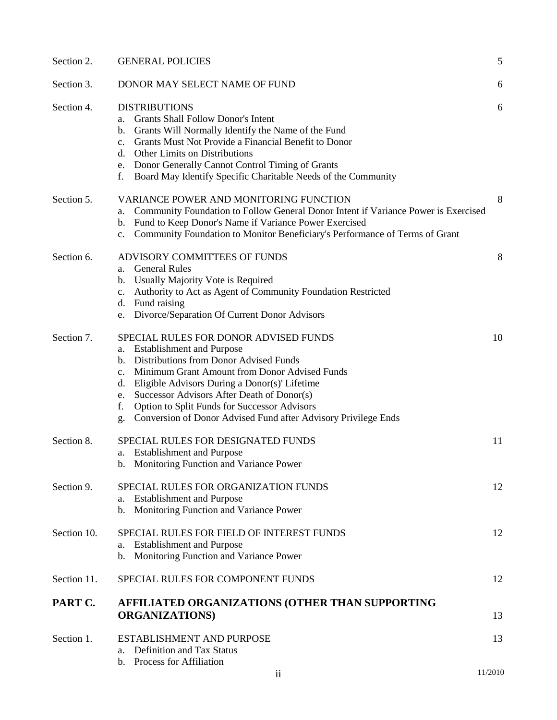| Section 2.  | <b>GENERAL POLICIES</b>                                                                       | 5       |
|-------------|-----------------------------------------------------------------------------------------------|---------|
| Section 3.  | DONOR MAY SELECT NAME OF FUND                                                                 | 6       |
| Section 4.  | <b>DISTRIBUTIONS</b>                                                                          | 6       |
|             | <b>Grants Shall Follow Donor's Intent</b><br>а.                                               |         |
|             | b. Grants Will Normally Identify the Name of the Fund                                         |         |
|             | c. Grants Must Not Provide a Financial Benefit to Donor                                       |         |
|             | d. Other Limits on Distributions                                                              |         |
|             | e. Donor Generally Cannot Control Timing of Grants                                            |         |
|             | Board May Identify Specific Charitable Needs of the Community<br>f.                           |         |
| Section 5.  | <b>VARIANCE POWER AND MONITORING FUNCTION</b>                                                 | 8       |
|             | Community Foundation to Follow General Donor Intent if Variance Power is Exercised<br>a.      |         |
|             | Fund to Keep Donor's Name if Variance Power Exercised<br>b.                                   |         |
|             | Community Foundation to Monitor Beneficiary's Performance of Terms of Grant<br>$\mathbf{c}$ . |         |
| Section 6.  | ADVISORY COMMITTEES OF FUNDS                                                                  | 8       |
|             | <b>General Rules</b><br>a.                                                                    |         |
|             | Usually Majority Vote is Required<br>b.                                                       |         |
|             | Authority to Act as Agent of Community Foundation Restricted<br>$c_{\cdot}$                   |         |
|             | d. Fund raising                                                                               |         |
|             | Divorce/Separation Of Current Donor Advisors<br>e.                                            |         |
| Section 7.  | SPECIAL RULES FOR DONOR ADVISED FUNDS                                                         | 10      |
|             | <b>Establishment and Purpose</b><br>a.                                                        |         |
|             | b. Distributions from Donor Advised Funds                                                     |         |
|             | Minimum Grant Amount from Donor Advised Funds<br>$\mathbf{c}$ .                               |         |
|             | Eligible Advisors During a Donor(s)' Lifetime<br>d.                                           |         |
|             | Successor Advisors After Death of Donor(s)<br>e.                                              |         |
|             | Option to Split Funds for Successor Advisors<br>f.                                            |         |
|             | Conversion of Donor Advised Fund after Advisory Privilege Ends<br>g.                          |         |
| Section 8.  | SPECIAL RULES FOR DESIGNATED FUNDS                                                            | 11      |
|             | a. Establishment and Purpose                                                                  |         |
|             | b. Monitoring Function and Variance Power                                                     |         |
| Section 9.  | SPECIAL RULES FOR ORGANIZATION FUNDS                                                          | 12      |
|             | <b>Establishment and Purpose</b><br>a.                                                        |         |
|             | Monitoring Function and Variance Power<br>b.                                                  |         |
| Section 10. | SPECIAL RULES FOR FIELD OF INTEREST FUNDS                                                     | 12      |
|             | <b>Establishment and Purpose</b><br>a.                                                        |         |
|             | b. Monitoring Function and Variance Power                                                     |         |
| Section 11. | SPECIAL RULES FOR COMPONENT FUNDS                                                             | 12      |
| PART C.     | AFFILIATED ORGANIZATIONS (OTHER THAN SUPPORTING                                               |         |
|             | <b>ORGANIZATIONS</b> )                                                                        | 13      |
| Section 1.  | ESTABLISHMENT AND PURPOSE                                                                     | 13      |
|             | Definition and Tax Status<br>a.                                                               |         |
|             | Process for Affiliation<br>$\mathbf{b}$ .                                                     |         |
|             | $\overline{\mathbf{u}}$                                                                       | 11/2010 |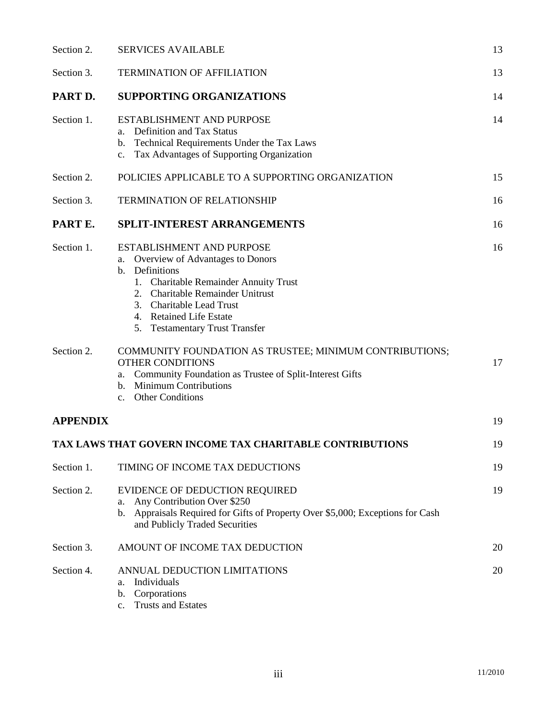| Section 2.      | <b>SERVICES AVAILABLE</b>                                                                                                                                                                                                                                   |    |
|-----------------|-------------------------------------------------------------------------------------------------------------------------------------------------------------------------------------------------------------------------------------------------------------|----|
| Section 3.      | <b>TERMINATION OF AFFILIATION</b>                                                                                                                                                                                                                           |    |
| PART D.         | <b>SUPPORTING ORGANIZATIONS</b>                                                                                                                                                                                                                             | 14 |
| Section 1.      | ESTABLISHMENT AND PURPOSE<br>Definition and Tax Status<br>a.<br>Technical Requirements Under the Tax Laws<br>b.<br>Tax Advantages of Supporting Organization<br>$c_{\cdot}$                                                                                 | 14 |
| Section 2.      | POLICIES APPLICABLE TO A SUPPORTING ORGANIZATION                                                                                                                                                                                                            | 15 |
| Section 3.      | <b>TERMINATION OF RELATIONSHIP</b>                                                                                                                                                                                                                          |    |
| PART E.         | SPLIT-INTEREST ARRANGEMENTS                                                                                                                                                                                                                                 | 16 |
| Section 1.      | ESTABLISHMENT AND PURPOSE<br>Overview of Advantages to Donors<br>а.<br>b. Definitions<br>1. Charitable Remainder Annuity Trust<br>2. Charitable Remainder Unitrust<br>3. Charitable Lead Trust<br>4. Retained Life Estate<br>5. Testamentary Trust Transfer | 16 |
| Section 2.      | COMMUNITY FOUNDATION AS TRUSTEE; MINIMUM CONTRIBUTIONS;<br><b>OTHER CONDITIONS</b><br>a. Community Foundation as Trustee of Split-Interest Gifts<br>b. Minimum Contributions<br><b>Other Conditions</b><br>$c_{\cdot}$                                      | 17 |
| <b>APPENDIX</b> |                                                                                                                                                                                                                                                             | 19 |
|                 | <b>TAX LAWS THAT GOVERN INCOME TAX CHARITABLE CONTRIBUTIONS</b>                                                                                                                                                                                             | 19 |
| Section 1.      | TIMING OF INCOME TAX DEDUCTIONS                                                                                                                                                                                                                             | 19 |
| Section 2.      | EVIDENCE OF DEDUCTION REQUIRED<br>Any Contribution Over \$250<br>a.<br>Appraisals Required for Gifts of Property Over \$5,000; Exceptions for Cash<br>b.<br>and Publicly Traded Securities                                                                  | 19 |
| Section 3.      | AMOUNT OF INCOME TAX DEDUCTION                                                                                                                                                                                                                              | 20 |
| Section 4.      | ANNUAL DEDUCTION LIMITATIONS<br>Individuals<br>a.<br>b. Corporations<br><b>Trusts and Estates</b><br>$\mathbf{c}$ .                                                                                                                                         | 20 |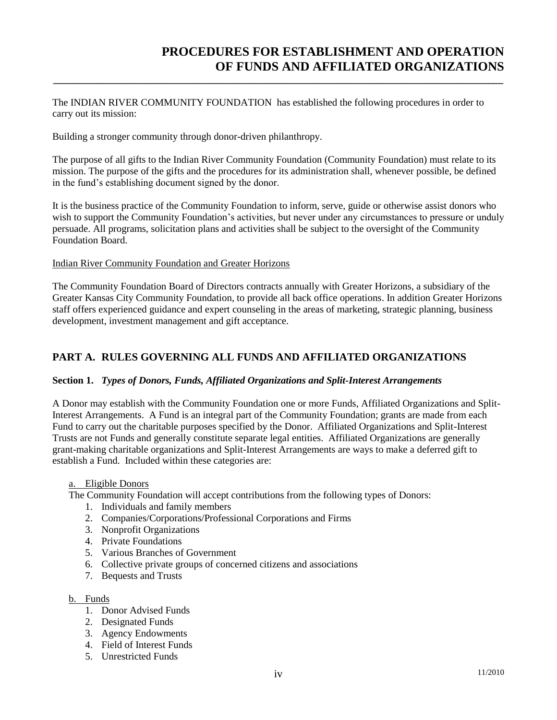# **PROCEDURES FOR ESTABLISHMENT AND OPERATION OF FUNDS AND AFFILIATED ORGANIZATIONS**

The INDIAN RIVER COMMUNITY FOUNDATION has established the following procedures in order to carry out its mission:

**\_\_\_\_\_\_\_\_\_\_\_\_\_\_\_\_\_\_\_\_\_\_\_\_\_\_\_\_\_\_\_\_\_\_\_\_\_\_\_\_\_\_\_\_\_\_\_\_\_\_\_\_\_\_\_\_\_\_\_\_\_\_\_\_\_\_\_\_\_\_\_\_\_\_\_\_\_\_\_\_\_\_\_\_\_\_\_\_\_\_**

Building a stronger community through donor-driven philanthropy.

The purpose of all gifts to the Indian River Community Foundation (Community Foundation) must relate to its mission. The purpose of the gifts and the procedures for its administration shall, whenever possible, be defined in the fund's establishing document signed by the donor.

It is the business practice of the Community Foundation to inform, serve, guide or otherwise assist donors who wish to support the Community Foundation's activities, but never under any circumstances to pressure or unduly persuade. All programs, solicitation plans and activities shall be subject to the oversight of the Community Foundation Board.

#### Indian River Community Foundation and Greater Horizons

The Community Foundation Board of Directors contracts annually with Greater Horizons, a subsidiary of the Greater Kansas City Community Foundation, to provide all back office operations. In addition Greater Horizons staff offers experienced guidance and expert counseling in the areas of marketing, strategic planning, business development, investment management and gift acceptance.

# **PART A. RULES GOVERNING ALL FUNDS AND AFFILIATED ORGANIZATIONS**

### **Section 1.** *Types of Donors, Funds, Affiliated Organizations and Split-Interest Arrangements*

A Donor may establish with the Community Foundation one or more Funds, Affiliated Organizations and Split-Interest Arrangements. A Fund is an integral part of the Community Foundation; grants are made from each Fund to carry out the charitable purposes specified by the Donor. Affiliated Organizations and Split-Interest Trusts are not Funds and generally constitute separate legal entities. Affiliated Organizations are generally grant-making charitable organizations and Split-Interest Arrangements are ways to make a deferred gift to establish a Fund. Included within these categories are:

#### a. Eligible Donors

The Community Foundation will accept contributions from the following types of Donors:

- 1. Individuals and family members
- 2. Companies/Corporations/Professional Corporations and Firms
- 3. Nonprofit Organizations
- 4. Private Foundations
- 5. Various Branches of Government
- 6. Collective private groups of concerned citizens and associations
- 7. Bequests and Trusts

#### b. Funds

- 1. Donor Advised Funds
- 2. Designated Funds
- 3. Agency Endowments
- 4. Field of Interest Funds
- 5. Unrestricted Funds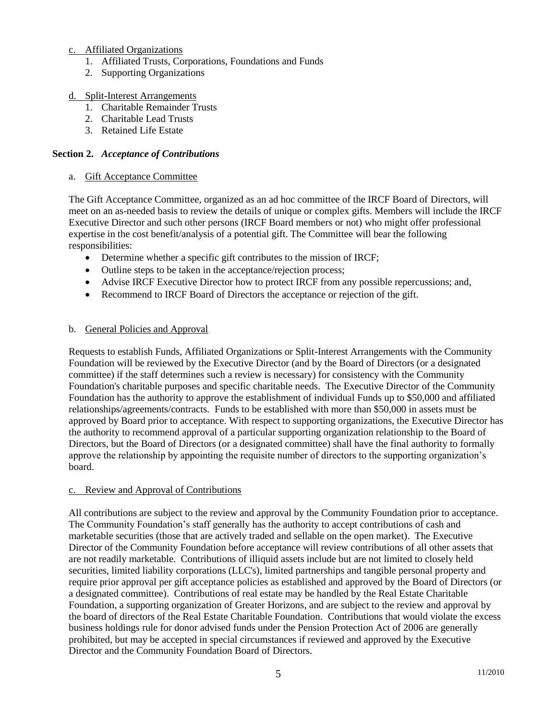### c. Affiliated Organizations

- 1. Affiliated Trusts, Corporations, Foundations and Funds
- 2. Supporting Organizations

### d. Split-Interest Arrangements

- 1. Charitable Remainder Trusts
- 2. Charitable Lead Trusts
- 3. Retained Life Estate

### **Section 2.** *Acceptance of Contributions*

### a. Gift Acceptance Committee

The Gift Acceptance Committee, organized as an ad hoc committee of the IRCF Board of Directors, will meet on an as-needed basis to review the details of unique or complex gifts. Members will include the IRCF Executive Director and such other persons (IRCF Board members or not) who might offer professional expertise in the cost benefit/analysis of a potential gift. The Committee will bear the following responsibilities:

- Determine whether a specific gift contributes to the mission of IRCF;
- Outline steps to be taken in the acceptance/rejection process;
- Advise IRCF Executive Director how to protect IRCF from any possible repercussions; and,
- Recommend to IRCF Board of Directors the acceptance or rejection of the gift.

### b. General Policies and Approval

Requests to establish Funds, Affiliated Organizations or Split-Interest Arrangements with the Community Foundation will be reviewed by the Executive Director (and by the Board of Directors (or a designated committee) if the staff determines such a review is necessary) for consistency with the Community Foundation's charitable purposes and specific charitable needs. The Executive Director of the Community Foundation has the authority to approve the establishment of individual Funds up to \$50,000 and affiliated relationships/agreements/contracts. Funds to be established with more than \$50,000 in assets must be approved by Board prior to acceptance. With respect to supporting organizations, the Executive Director has the authority to recommend approval of a particular supporting organization relationship to the Board of Directors, but the Board of Directors (or a designated committee) shall have the final authority to formally approve the relationship by appointing the requisite number of directors to the supporting organization's board.

### c. Review and Approval of Contributions

All contributions are subject to the review and approval by the Community Foundation prior to acceptance. The Community Foundation's staff generally has the authority to accept contributions of cash and marketable securities (those that are actively traded and sellable on the open market). The Executive Director of the Community Foundation before acceptance will review contributions of all other assets that are not readily marketable. Contributions of illiquid assets include but are not limited to closely held securities, limited liability corporations (LLC's), limited partnerships and tangible personal property and require prior approval per gift acceptance policies as established and approved by the Board of Directors (or a designated committee). Contributions of real estate may be handled by the Real Estate Charitable Foundation, a supporting organization of Greater Horizons, and are subject to the review and approval by the board of directors of the Real Estate Charitable Foundation. Contributions that would violate the excess business holdings rule for donor advised funds under the Pension Protection Act of 2006 are generally prohibited, but may be accepted in special circumstances if reviewed and approved by the Executive Director and the Community Foundation Board of Directors.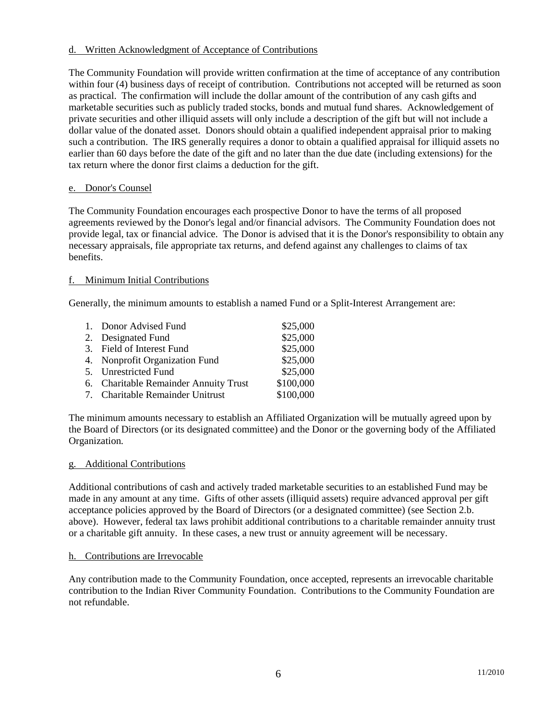### d. Written Acknowledgment of Acceptance of Contributions

The Community Foundation will provide written confirmation at the time of acceptance of any contribution within four (4) business days of receipt of contribution. Contributions not accepted will be returned as soon as practical. The confirmation will include the dollar amount of the contribution of any cash gifts and marketable securities such as publicly traded stocks, bonds and mutual fund shares. Acknowledgement of private securities and other illiquid assets will only include a description of the gift but will not include a dollar value of the donated asset. Donors should obtain a qualified independent appraisal prior to making such a contribution. The IRS generally requires a donor to obtain a qualified appraisal for illiquid assets no earlier than 60 days before the date of the gift and no later than the due date (including extensions) for the tax return where the donor first claims a deduction for the gift.

### e. Donor's Counsel

The Community Foundation encourages each prospective Donor to have the terms of all proposed agreements reviewed by the Donor's legal and/or financial advisors. The Community Foundation does not provide legal, tax or financial advice. The Donor is advised that it is the Donor's responsibility to obtain any necessary appraisals, file appropriate tax returns, and defend against any challenges to claims of tax benefits.

### f. Minimum Initial Contributions

Generally, the minimum amounts to establish a named Fund or a Split-Interest Arrangement are:

| 1. Donor Advised Fund                 | \$25,000  |
|---------------------------------------|-----------|
| 2. Designated Fund                    | \$25,000  |
| 3. Field of Interest Fund             | \$25,000  |
| 4. Nonprofit Organization Fund        | \$25,000  |
| 5. Unrestricted Fund                  | \$25,000  |
| 6. Charitable Remainder Annuity Trust | \$100,000 |
| 7. Charitable Remainder Unitrust      | \$100,000 |

The minimum amounts necessary to establish an Affiliated Organization will be mutually agreed upon by the Board of Directors (or its designated committee) and the Donor or the governing body of the Affiliated Organization.

#### g. Additional Contributions

Additional contributions of cash and actively traded marketable securities to an established Fund may be made in any amount at any time. Gifts of other assets (illiquid assets) require advanced approval per gift acceptance policies approved by the Board of Directors (or a designated committee) (see Section 2.b. above). However, federal tax laws prohibit additional contributions to a charitable remainder annuity trust or a charitable gift annuity. In these cases, a new trust or annuity agreement will be necessary.

#### h. Contributions are Irrevocable

Any contribution made to the Community Foundation, once accepted, represents an irrevocable charitable contribution to the Indian River Community Foundation. Contributions to the Community Foundation are not refundable.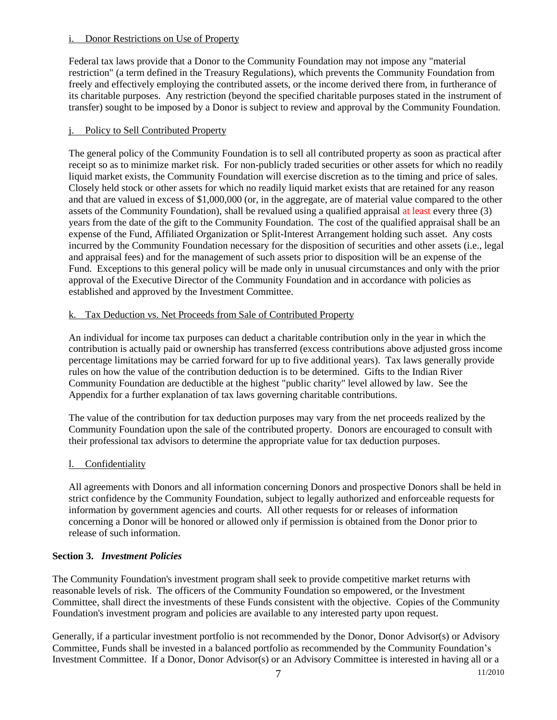### i. Donor Restrictions on Use of Property

Federal tax laws provide that a Donor to the Community Foundation may not impose any "material restriction" (a term defined in the Treasury Regulations), which prevents the Community Foundation from freely and effectively employing the contributed assets, or the income derived there from, in furtherance of its charitable purposes. Any restriction (beyond the specified charitable purposes stated in the instrument of transfer) sought to be imposed by a Donor is subject to review and approval by the Community Foundation.

# j. Policy to Sell Contributed Property

The general policy of the Community Foundation is to sell all contributed property as soon as practical after receipt so as to minimize market risk. For non-publicly traded securities or other assets for which no readily liquid market exists, the Community Foundation will exercise discretion as to the timing and price of sales. Closely held stock or other assets for which no readily liquid market exists that are retained for any reason and that are valued in excess of \$1,000,000 (or, in the aggregate, are of material value compared to the other assets of the Community Foundation), shall be revalued using a qualified appraisal at least every three (3) years from the date of the gift to the Community Foundation. The cost of the qualified appraisal shall be an expense of the Fund, Affiliated Organization or Split-Interest Arrangement holding such asset. Any costs incurred by the Community Foundation necessary for the disposition of securities and other assets (i.e., legal and appraisal fees) and for the management of such assets prior to disposition will be an expense of the Fund. Exceptions to this general policy will be made only in unusual circumstances and only with the prior approval of the Executive Director of the Community Foundation and in accordance with policies as established and approved by the Investment Committee.

# k. Tax Deduction vs. Net Proceeds from Sale of Contributed Property

An individual for income tax purposes can deduct a charitable contribution only in the year in which the contribution is actually paid or ownership has transferred (excess contributions above adjusted gross income percentage limitations may be carried forward for up to five additional years). Tax laws generally provide rules on how the value of the contribution deduction is to be determined. Gifts to the Indian River Community Foundation are deductible at the highest "public charity" level allowed by law. See the Appendix for a further explanation of tax laws governing charitable contributions.

The value of the contribution for tax deduction purposes may vary from the net proceeds realized by the Community Foundation upon the sale of the contributed property. Donors are encouraged to consult with their professional tax advisors to determine the appropriate value for tax deduction purposes.

# l. Confidentiality

All agreements with Donors and all information concerning Donors and prospective Donors shall be held in strict confidence by the Community Foundation, subject to legally authorized and enforceable requests for information by government agencies and courts. All other requests for or releases of information concerning a Donor will be honored or allowed only if permission is obtained from the Donor prior to release of such information.

# **Section 3.** *Investment Policies*

The Community Foundation's investment program shall seek to provide competitive market returns with reasonable levels of risk. The officers of the Community Foundation so empowered, or the Investment Committee, shall direct the investments of these Funds consistent with the objective. Copies of the Community Foundation's investment program and policies are available to any interested party upon request.

Generally, if a particular investment portfolio is not recommended by the Donor, Donor Advisor(s) or Advisory Committee, Funds shall be invested in a balanced portfolio as recommended by the Community Foundation's Investment Committee. If a Donor, Donor Advisor(s) or an Advisory Committee is interested in having all or a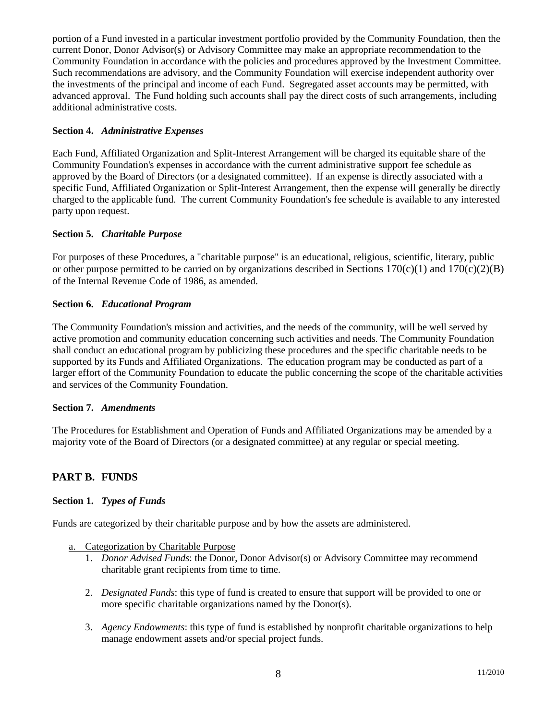portion of a Fund invested in a particular investment portfolio provided by the Community Foundation, then the current Donor, Donor Advisor(s) or Advisory Committee may make an appropriate recommendation to the Community Foundation in accordance with the policies and procedures approved by the Investment Committee. Such recommendations are advisory, and the Community Foundation will exercise independent authority over the investments of the principal and income of each Fund. Segregated asset accounts may be permitted, with advanced approval. The Fund holding such accounts shall pay the direct costs of such arrangements, including additional administrative costs.

#### **Section 4.** *Administrative Expenses*

Each Fund, Affiliated Organization and Split-Interest Arrangement will be charged its equitable share of the Community Foundation's expenses in accordance with the current administrative support fee schedule as approved by the Board of Directors (or a designated committee). If an expense is directly associated with a specific Fund, Affiliated Organization or Split-Interest Arrangement, then the expense will generally be directly charged to the applicable fund. The current Community Foundation's fee schedule is available to any interested party upon request.

# **Section 5.** *Charitable Purpose*

For purposes of these Procedures, a "charitable purpose" is an educational, religious, scientific, literary, public or other purpose permitted to be carried on by organizations described in Sections  $170(c)(1)$  and  $170(c)(2)(B)$ of the Internal Revenue Code of 1986, as amended.

#### **Section 6.** *Educational Program*

The Community Foundation's mission and activities, and the needs of the community, will be well served by active promotion and community education concerning such activities and needs. The Community Foundation shall conduct an educational program by publicizing these procedures and the specific charitable needs to be supported by its Funds and Affiliated Organizations. The education program may be conducted as part of a larger effort of the Community Foundation to educate the public concerning the scope of the charitable activities and services of the Community Foundation.

#### **Section 7.** *Amendments*

The Procedures for Establishment and Operation of Funds and Affiliated Organizations may be amended by a majority vote of the Board of Directors (or a designated committee) at any regular or special meeting.

# **PART B. FUNDS**

### **Section 1.** *Types of Funds*

Funds are categorized by their charitable purpose and by how the assets are administered.

#### a. Categorization by Charitable Purpose

- 1. *Donor Advised Funds*: the Donor, Donor Advisor(s) or Advisory Committee may recommend charitable grant recipients from time to time.
- 2. *Designated Funds*: this type of fund is created to ensure that support will be provided to one or more specific charitable organizations named by the Donor(s).
- 3. *Agency Endowments*: this type of fund is established by nonprofit charitable organizations to help manage endowment assets and/or special project funds.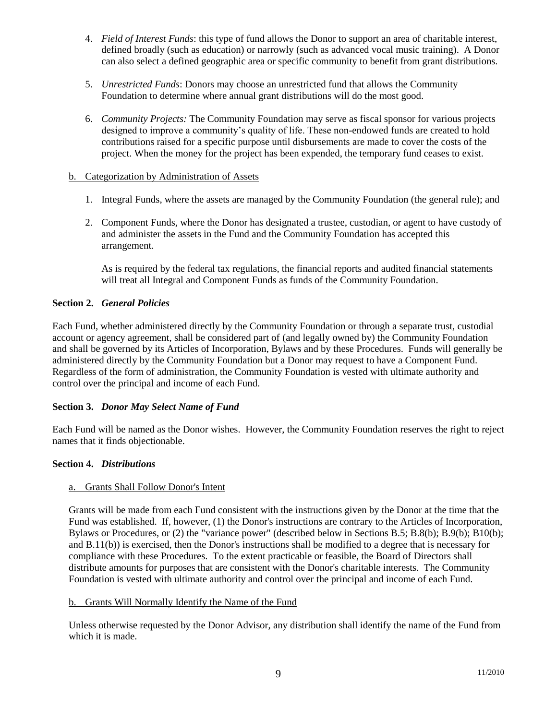- 4. *Field of Interest Funds*: this type of fund allows the Donor to support an area of charitable interest, defined broadly (such as education) or narrowly (such as advanced vocal music training). A Donor can also select a defined geographic area or specific community to benefit from grant distributions.
- 5. *Unrestricted Funds*: Donors may choose an unrestricted fund that allows the Community Foundation to determine where annual grant distributions will do the most good.
- 6. *Community Projects:* The Community Foundation may serve as fiscal sponsor for various projects designed to improve a community's quality of life. These non-endowed funds are created to hold contributions raised for a specific purpose until disbursements are made to cover the costs of the project. When the money for the project has been expended, the temporary fund ceases to exist.

### b. Categorization by Administration of Assets

- 1. Integral Funds, where the assets are managed by the Community Foundation (the general rule); and
- 2. Component Funds, where the Donor has designated a trustee, custodian, or agent to have custody of and administer the assets in the Fund and the Community Foundation has accepted this arrangement.

As is required by the federal tax regulations, the financial reports and audited financial statements will treat all Integral and Component Funds as funds of the Community Foundation.

### **Section 2.** *General Policies*

Each Fund, whether administered directly by the Community Foundation or through a separate trust, custodial account or agency agreement, shall be considered part of (and legally owned by) the Community Foundation and shall be governed by its Articles of Incorporation, Bylaws and by these Procedures. Funds will generally be administered directly by the Community Foundation but a Donor may request to have a Component Fund. Regardless of the form of administration, the Community Foundation is vested with ultimate authority and control over the principal and income of each Fund.

### **Section 3.** *Donor May Select Name of Fund*

Each Fund will be named as the Donor wishes. However, the Community Foundation reserves the right to reject names that it finds objectionable.

### **Section 4.** *Distributions*

#### a. Grants Shall Follow Donor's Intent

Grants will be made from each Fund consistent with the instructions given by the Donor at the time that the Fund was established. If, however, (1) the Donor's instructions are contrary to the Articles of Incorporation, Bylaws or Procedures, or (2) the "variance power" (described below in Sections B.5; B.8(b); B.9(b); B10(b); and B.11(b)) is exercised, then the Donor's instructions shall be modified to a degree that is necessary for compliance with these Procedures. To the extent practicable or feasible, the Board of Directors shall distribute amounts for purposes that are consistent with the Donor's charitable interests. The Community Foundation is vested with ultimate authority and control over the principal and income of each Fund.

#### b. Grants Will Normally Identify the Name of the Fund

Unless otherwise requested by the Donor Advisor, any distribution shall identify the name of the Fund from which it is made.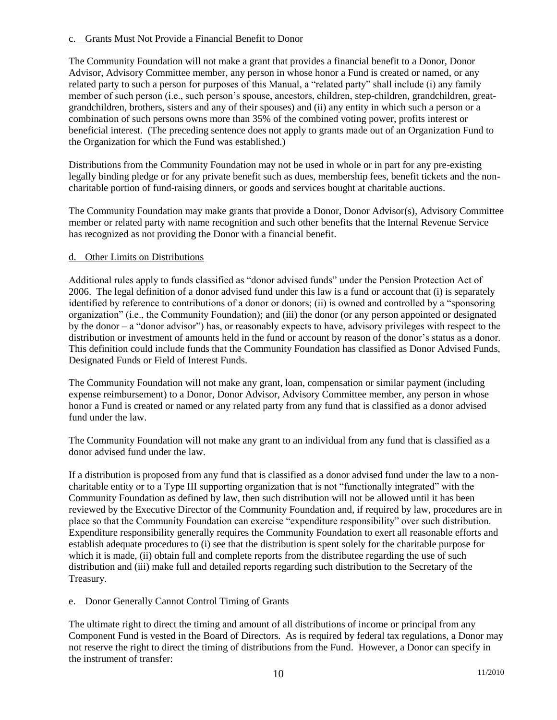### c. Grants Must Not Provide a Financial Benefit to Donor

The Community Foundation will not make a grant that provides a financial benefit to a Donor, Donor Advisor, Advisory Committee member, any person in whose honor a Fund is created or named, or any related party to such a person for purposes of this Manual, a "related party" shall include (i) any family member of such person (i.e., such person's spouse, ancestors, children, step-children, grandchildren, greatgrandchildren, brothers, sisters and any of their spouses) and (ii) any entity in which such a person or a combination of such persons owns more than 35% of the combined voting power, profits interest or beneficial interest. (The preceding sentence does not apply to grants made out of an Organization Fund to the Organization for which the Fund was established.)

Distributions from the Community Foundation may not be used in whole or in part for any pre-existing legally binding pledge or for any private benefit such as dues, membership fees, benefit tickets and the noncharitable portion of fund-raising dinners, or goods and services bought at charitable auctions.

The Community Foundation may make grants that provide a Donor, Donor Advisor(s), Advisory Committee member or related party with name recognition and such other benefits that the Internal Revenue Service has recognized as not providing the Donor with a financial benefit.

### d. Other Limits on Distributions

Additional rules apply to funds classified as "donor advised funds" under the Pension Protection Act of 2006. The legal definition of a donor advised fund under this law is a fund or account that (i) is separately identified by reference to contributions of a donor or donors; (ii) is owned and controlled by a "sponsoring organization" (i.e., the Community Foundation); and (iii) the donor (or any person appointed or designated by the donor – a "donor advisor") has, or reasonably expects to have, advisory privileges with respect to the distribution or investment of amounts held in the fund or account by reason of the donor's status as a donor. This definition could include funds that the Community Foundation has classified as Donor Advised Funds, Designated Funds or Field of Interest Funds.

The Community Foundation will not make any grant, loan, compensation or similar payment (including expense reimbursement) to a Donor, Donor Advisor, Advisory Committee member, any person in whose honor a Fund is created or named or any related party from any fund that is classified as a donor advised fund under the law.

The Community Foundation will not make any grant to an individual from any fund that is classified as a donor advised fund under the law.

If a distribution is proposed from any fund that is classified as a donor advised fund under the law to a noncharitable entity or to a Type III supporting organization that is not "functionally integrated" with the Community Foundation as defined by law, then such distribution will not be allowed until it has been reviewed by the Executive Director of the Community Foundation and, if required by law, procedures are in place so that the Community Foundation can exercise "expenditure responsibility" over such distribution. Expenditure responsibility generally requires the Community Foundation to exert all reasonable efforts and establish adequate procedures to (i) see that the distribution is spent solely for the charitable purpose for which it is made, (ii) obtain full and complete reports from the distributee regarding the use of such distribution and (iii) make full and detailed reports regarding such distribution to the Secretary of the Treasury.

### e. Donor Generally Cannot Control Timing of Grants

The ultimate right to direct the timing and amount of all distributions of income or principal from any Component Fund is vested in the Board of Directors. As is required by federal tax regulations, a Donor may not reserve the right to direct the timing of distributions from the Fund. However, a Donor can specify in the instrument of transfer: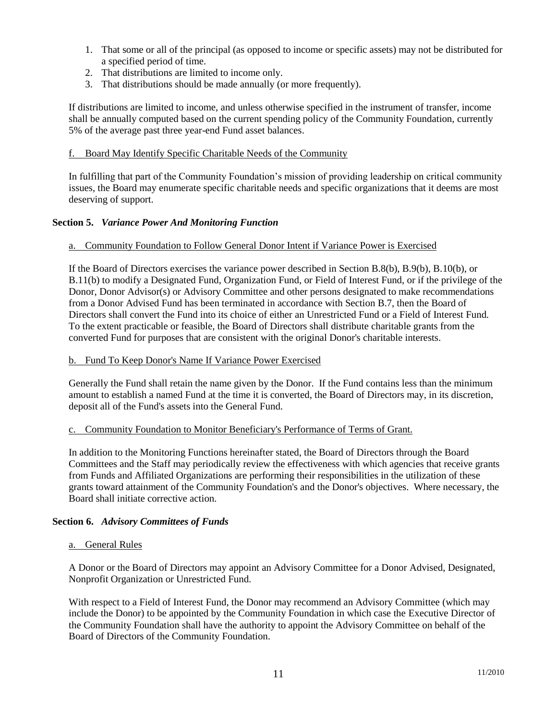- 1. That some or all of the principal (as opposed to income or specific assets) may not be distributed for a specified period of time.
- 2. That distributions are limited to income only.
- 3. That distributions should be made annually (or more frequently).

If distributions are limited to income, and unless otherwise specified in the instrument of transfer, income shall be annually computed based on the current spending policy of the Community Foundation, currently 5% of the average past three year-end Fund asset balances.

#### f. Board May Identify Specific Charitable Needs of the Community

In fulfilling that part of the Community Foundation's mission of providing leadership on critical community issues, the Board may enumerate specific charitable needs and specific organizations that it deems are most deserving of support.

### **Section 5.** *Variance Power And Monitoring Function*

#### a. Community Foundation to Follow General Donor Intent if Variance Power is Exercised

If the Board of Directors exercises the variance power described in Section B.8(b), B.9(b), B.10(b), or B.11(b) to modify a Designated Fund, Organization Fund, or Field of Interest Fund, or if the privilege of the Donor, Donor Advisor(s) or Advisory Committee and other persons designated to make recommendations from a Donor Advised Fund has been terminated in accordance with Section B.7, then the Board of Directors shall convert the Fund into its choice of either an Unrestricted Fund or a Field of Interest Fund. To the extent practicable or feasible, the Board of Directors shall distribute charitable grants from the converted Fund for purposes that are consistent with the original Donor's charitable interests.

#### b. Fund To Keep Donor's Name If Variance Power Exercised

Generally the Fund shall retain the name given by the Donor. If the Fund contains less than the minimum amount to establish a named Fund at the time it is converted, the Board of Directors may, in its discretion, deposit all of the Fund's assets into the General Fund.

#### c. Community Foundation to Monitor Beneficiary's Performance of Terms of Grant.

In addition to the Monitoring Functions hereinafter stated, the Board of Directors through the Board Committees and the Staff may periodically review the effectiveness with which agencies that receive grants from Funds and Affiliated Organizations are performing their responsibilities in the utilization of these grants toward attainment of the Community Foundation's and the Donor's objectives. Where necessary, the Board shall initiate corrective action.

### **Section 6.** *Advisory Committees of Funds*

#### a. General Rules

A Donor or the Board of Directors may appoint an Advisory Committee for a Donor Advised, Designated, Nonprofit Organization or Unrestricted Fund.

With respect to a Field of Interest Fund, the Donor may recommend an Advisory Committee (which may include the Donor) to be appointed by the Community Foundation in which case the Executive Director of the Community Foundation shall have the authority to appoint the Advisory Committee on behalf of the Board of Directors of the Community Foundation.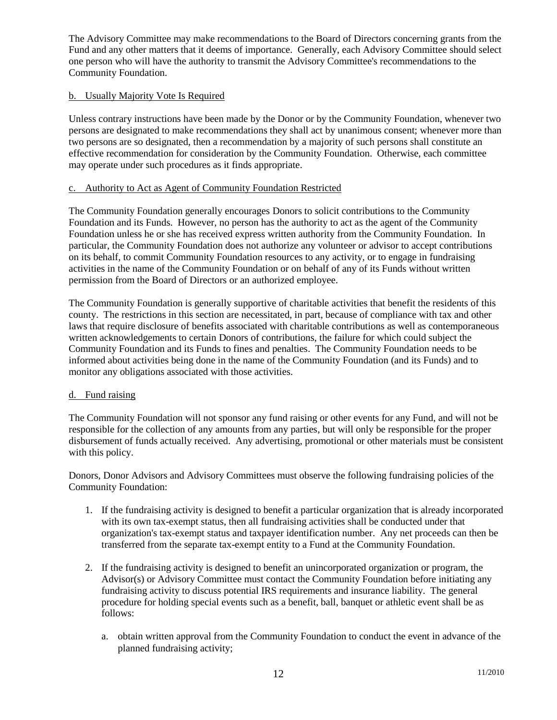The Advisory Committee may make recommendations to the Board of Directors concerning grants from the Fund and any other matters that it deems of importance. Generally, each Advisory Committee should select one person who will have the authority to transmit the Advisory Committee's recommendations to the Community Foundation.

### b. Usually Majority Vote Is Required

Unless contrary instructions have been made by the Donor or by the Community Foundation, whenever two persons are designated to make recommendations they shall act by unanimous consent; whenever more than two persons are so designated, then a recommendation by a majority of such persons shall constitute an effective recommendation for consideration by the Community Foundation. Otherwise, each committee may operate under such procedures as it finds appropriate.

### c. Authority to Act as Agent of Community Foundation Restricted

The Community Foundation generally encourages Donors to solicit contributions to the Community Foundation and its Funds. However, no person has the authority to act as the agent of the Community Foundation unless he or she has received express written authority from the Community Foundation. In particular, the Community Foundation does not authorize any volunteer or advisor to accept contributions on its behalf, to commit Community Foundation resources to any activity, or to engage in fundraising activities in the name of the Community Foundation or on behalf of any of its Funds without written permission from the Board of Directors or an authorized employee.

The Community Foundation is generally supportive of charitable activities that benefit the residents of this county. The restrictions in this section are necessitated, in part, because of compliance with tax and other laws that require disclosure of benefits associated with charitable contributions as well as contemporaneous written acknowledgements to certain Donors of contributions, the failure for which could subject the Community Foundation and its Funds to fines and penalties. The Community Foundation needs to be informed about activities being done in the name of the Community Foundation (and its Funds) and to monitor any obligations associated with those activities.

### d. Fund raising

The Community Foundation will not sponsor any fund raising or other events for any Fund, and will not be responsible for the collection of any amounts from any parties, but will only be responsible for the proper disbursement of funds actually received. Any advertising, promotional or other materials must be consistent with this policy.

Donors, Donor Advisors and Advisory Committees must observe the following fundraising policies of the Community Foundation:

- 1. If the fundraising activity is designed to benefit a particular organization that is already incorporated with its own tax-exempt status, then all fundraising activities shall be conducted under that organization's tax-exempt status and taxpayer identification number. Any net proceeds can then be transferred from the separate tax-exempt entity to a Fund at the Community Foundation.
- 2. If the fundraising activity is designed to benefit an unincorporated organization or program, the Advisor(s) or Advisory Committee must contact the Community Foundation before initiating any fundraising activity to discuss potential IRS requirements and insurance liability. The general procedure for holding special events such as a benefit, ball, banquet or athletic event shall be as follows:
	- a. obtain written approval from the Community Foundation to conduct the event in advance of the planned fundraising activity;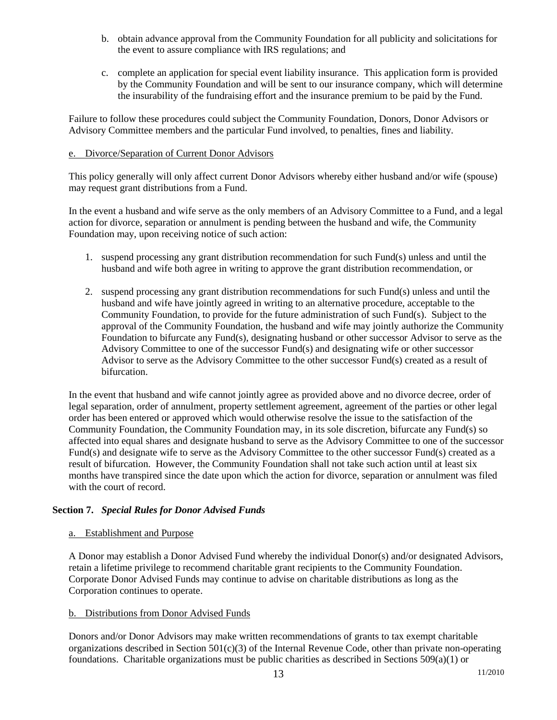- b. obtain advance approval from the Community Foundation for all publicity and solicitations for the event to assure compliance with IRS regulations; and
- c. complete an application for special event liability insurance. This application form is provided by the Community Foundation and will be sent to our insurance company, which will determine the insurability of the fundraising effort and the insurance premium to be paid by the Fund.

Failure to follow these procedures could subject the Community Foundation, Donors, Donor Advisors or Advisory Committee members and the particular Fund involved, to penalties, fines and liability.

#### e. Divorce/Separation of Current Donor Advisors

This policy generally will only affect current Donor Advisors whereby either husband and/or wife (spouse) may request grant distributions from a Fund.

In the event a husband and wife serve as the only members of an Advisory Committee to a Fund, and a legal action for divorce, separation or annulment is pending between the husband and wife, the Community Foundation may, upon receiving notice of such action:

- 1. suspend processing any grant distribution recommendation for such Fund(s) unless and until the husband and wife both agree in writing to approve the grant distribution recommendation, or
- 2. suspend processing any grant distribution recommendations for such Fund(s) unless and until the husband and wife have jointly agreed in writing to an alternative procedure, acceptable to the Community Foundation, to provide for the future administration of such Fund(s). Subject to the approval of the Community Foundation, the husband and wife may jointly authorize the Community Foundation to bifurcate any Fund(s), designating husband or other successor Advisor to serve as the Advisory Committee to one of the successor Fund(s) and designating wife or other successor Advisor to serve as the Advisory Committee to the other successor Fund(s) created as a result of bifurcation.

In the event that husband and wife cannot jointly agree as provided above and no divorce decree, order of legal separation, order of annulment, property settlement agreement, agreement of the parties or other legal order has been entered or approved which would otherwise resolve the issue to the satisfaction of the Community Foundation, the Community Foundation may, in its sole discretion, bifurcate any Fund(s) so affected into equal shares and designate husband to serve as the Advisory Committee to one of the successor Fund(s) and designate wife to serve as the Advisory Committee to the other successor Fund(s) created as a result of bifurcation. However, the Community Foundation shall not take such action until at least six months have transpired since the date upon which the action for divorce, separation or annulment was filed with the court of record.

### **Section 7.** *Special Rules for Donor Advised Funds*

### a. Establishment and Purpose

A Donor may establish a Donor Advised Fund whereby the individual Donor(s) and/or designated Advisors, retain a lifetime privilege to recommend charitable grant recipients to the Community Foundation. Corporate Donor Advised Funds may continue to advise on charitable distributions as long as the Corporation continues to operate.

### b. Distributions from Donor Advised Funds

Donors and/or Donor Advisors may make written recommendations of grants to tax exempt charitable organizations described in Section  $501(c)(3)$  of the Internal Revenue Code, other than private non-operating foundations. Charitable organizations must be public charities as described in Sections 509(a)(1) or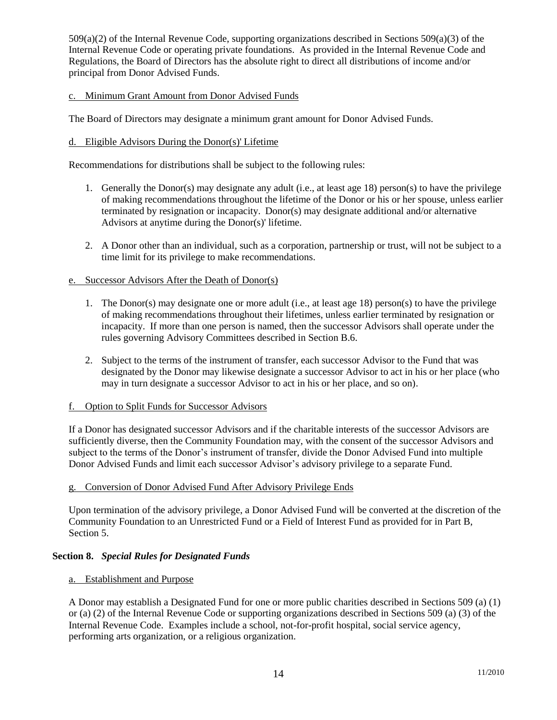509(a)(2) of the Internal Revenue Code, supporting organizations described in Sections 509(a)(3) of the Internal Revenue Code or operating private foundations. As provided in the Internal Revenue Code and Regulations, the Board of Directors has the absolute right to direct all distributions of income and/or principal from Donor Advised Funds.

### c. Minimum Grant Amount from Donor Advised Funds

The Board of Directors may designate a minimum grant amount for Donor Advised Funds.

### d. Eligible Advisors During the Donor(s)' Lifetime

Recommendations for distributions shall be subject to the following rules:

- 1. Generally the Donor(s) may designate any adult (i.e., at least age 18) person(s) to have the privilege of making recommendations throughout the lifetime of the Donor or his or her spouse, unless earlier terminated by resignation or incapacity. Donor(s) may designate additional and/or alternative Advisors at anytime during the Donor(s)' lifetime.
- 2. A Donor other than an individual, such as a corporation, partnership or trust, will not be subject to a time limit for its privilege to make recommendations.

### e. Successor Advisors After the Death of Donor(s)

- 1. The Donor(s) may designate one or more adult (i.e., at least age 18) person(s) to have the privilege of making recommendations throughout their lifetimes, unless earlier terminated by resignation or incapacity. If more than one person is named, then the successor Advisors shall operate under the rules governing Advisory Committees described in Section B.6.
- 2. Subject to the terms of the instrument of transfer, each successor Advisor to the Fund that was designated by the Donor may likewise designate a successor Advisor to act in his or her place (who may in turn designate a successor Advisor to act in his or her place, and so on).

### f. Option to Split Funds for Successor Advisors

If a Donor has designated successor Advisors and if the charitable interests of the successor Advisors are sufficiently diverse, then the Community Foundation may, with the consent of the successor Advisors and subject to the terms of the Donor's instrument of transfer, divide the Donor Advised Fund into multiple Donor Advised Funds and limit each successor Advisor's advisory privilege to a separate Fund.

### g. Conversion of Donor Advised Fund After Advisory Privilege Ends

Upon termination of the advisory privilege, a Donor Advised Fund will be converted at the discretion of the Community Foundation to an Unrestricted Fund or a Field of Interest Fund as provided for in Part B, Section 5.

### **Section 8.** *Special Rules for Designated Funds*

### a. Establishment and Purpose

A Donor may establish a Designated Fund for one or more public charities described in Sections 509 (a) (1) or (a) (2) of the Internal Revenue Code or supporting organizations described in Sections 509 (a) (3) of the Internal Revenue Code. Examples include a school, not-for-profit hospital, social service agency, performing arts organization, or a religious organization.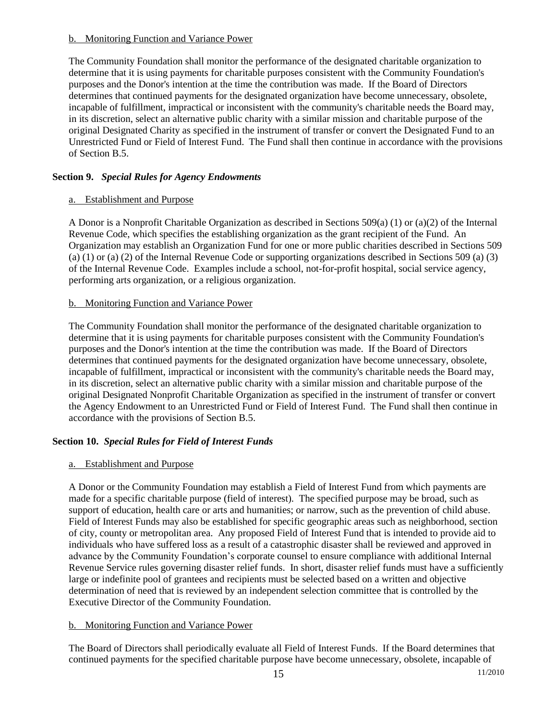### b. Monitoring Function and Variance Power

The Community Foundation shall monitor the performance of the designated charitable organization to determine that it is using payments for charitable purposes consistent with the Community Foundation's purposes and the Donor's intention at the time the contribution was made. If the Board of Directors determines that continued payments for the designated organization have become unnecessary, obsolete, incapable of fulfillment, impractical or inconsistent with the community's charitable needs the Board may, in its discretion, select an alternative public charity with a similar mission and charitable purpose of the original Designated Charity as specified in the instrument of transfer or convert the Designated Fund to an Unrestricted Fund or Field of Interest Fund. The Fund shall then continue in accordance with the provisions of Section B.5.

# **Section 9.** *Special Rules for Agency Endowments*

# a. Establishment and Purpose

A Donor is a Nonprofit Charitable Organization as described in Sections 509(a) (1) or (a)(2) of the Internal Revenue Code, which specifies the establishing organization as the grant recipient of the Fund. An Organization may establish an Organization Fund for one or more public charities described in Sections 509 (a) (1) or (a) (2) of the Internal Revenue Code or supporting organizations described in Sections 509 (a) (3) of the Internal Revenue Code. Examples include a school, not-for-profit hospital, social service agency, performing arts organization, or a religious organization.

# b. Monitoring Function and Variance Power

The Community Foundation shall monitor the performance of the designated charitable organization to determine that it is using payments for charitable purposes consistent with the Community Foundation's purposes and the Donor's intention at the time the contribution was made. If the Board of Directors determines that continued payments for the designated organization have become unnecessary, obsolete, incapable of fulfillment, impractical or inconsistent with the community's charitable needs the Board may, in its discretion, select an alternative public charity with a similar mission and charitable purpose of the original Designated Nonprofit Charitable Organization as specified in the instrument of transfer or convert the Agency Endowment to an Unrestricted Fund or Field of Interest Fund. The Fund shall then continue in accordance with the provisions of Section B.5.

# **Section 10.** *Special Rules for Field of Interest Funds*

# a. Establishment and Purpose

A Donor or the Community Foundation may establish a Field of Interest Fund from which payments are made for a specific charitable purpose (field of interest). The specified purpose may be broad, such as support of education, health care or arts and humanities; or narrow, such as the prevention of child abuse. Field of Interest Funds may also be established for specific geographic areas such as neighborhood, section of city, county or metropolitan area. Any proposed Field of Interest Fund that is intended to provide aid to individuals who have suffered loss as a result of a catastrophic disaster shall be reviewed and approved in advance by the Community Foundation's corporate counsel to ensure compliance with additional Internal Revenue Service rules governing disaster relief funds. In short, disaster relief funds must have a sufficiently large or indefinite pool of grantees and recipients must be selected based on a written and objective determination of need that is reviewed by an independent selection committee that is controlled by the Executive Director of the Community Foundation.

# b. Monitoring Function and Variance Power

The Board of Directors shall periodically evaluate all Field of Interest Funds. If the Board determines that continued payments for the specified charitable purpose have become unnecessary, obsolete, incapable of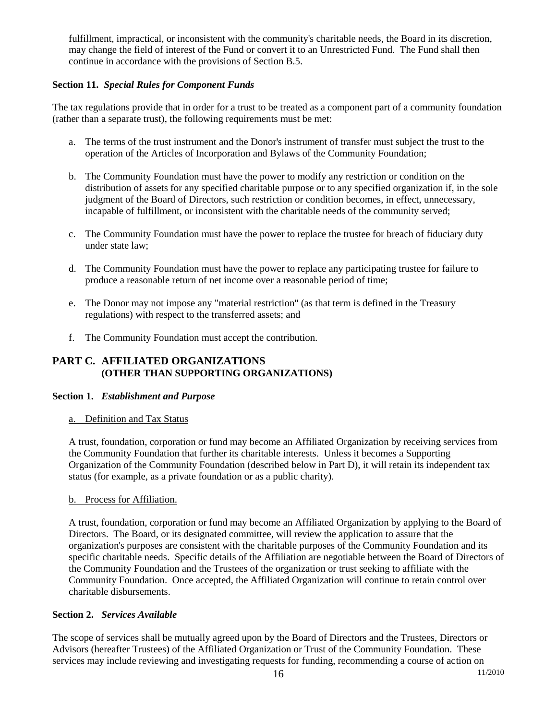fulfillment, impractical, or inconsistent with the community's charitable needs, the Board in its discretion, may change the field of interest of the Fund or convert it to an Unrestricted Fund. The Fund shall then continue in accordance with the provisions of Section B.5.

# **Section 11.** *Special Rules for Component Funds*

The tax regulations provide that in order for a trust to be treated as a component part of a community foundation (rather than a separate trust), the following requirements must be met:

- a. The terms of the trust instrument and the Donor's instrument of transfer must subject the trust to the operation of the Articles of Incorporation and Bylaws of the Community Foundation;
- b. The Community Foundation must have the power to modify any restriction or condition on the distribution of assets for any specified charitable purpose or to any specified organization if, in the sole judgment of the Board of Directors, such restriction or condition becomes, in effect, unnecessary, incapable of fulfillment, or inconsistent with the charitable needs of the community served;
- c. The Community Foundation must have the power to replace the trustee for breach of fiduciary duty under state law;
- d. The Community Foundation must have the power to replace any participating trustee for failure to produce a reasonable return of net income over a reasonable period of time;
- e. The Donor may not impose any "material restriction" (as that term is defined in the Treasury regulations) with respect to the transferred assets; and
- f. The Community Foundation must accept the contribution.

# **PART C. AFFILIATED ORGANIZATIONS (OTHER THAN SUPPORTING ORGANIZATIONS)**

#### **Section 1.** *Establishment and Purpose*

a. Definition and Tax Status

A trust, foundation, corporation or fund may become an Affiliated Organization by receiving services from the Community Foundation that further its charitable interests. Unless it becomes a Supporting Organization of the Community Foundation (described below in Part D), it will retain its independent tax status (for example, as a private foundation or as a public charity).

### b. Process for Affiliation.

A trust, foundation, corporation or fund may become an Affiliated Organization by applying to the Board of Directors. The Board, or its designated committee, will review the application to assure that the organization's purposes are consistent with the charitable purposes of the Community Foundation and its specific charitable needs. Specific details of the Affiliation are negotiable between the Board of Directors of the Community Foundation and the Trustees of the organization or trust seeking to affiliate with the Community Foundation. Once accepted, the Affiliated Organization will continue to retain control over charitable disbursements.

### **Section 2.** *Services Available*

The scope of services shall be mutually agreed upon by the Board of Directors and the Trustees, Directors or Advisors (hereafter Trustees) of the Affiliated Organization or Trust of the Community Foundation. These services may include reviewing and investigating requests for funding, recommending a course of action on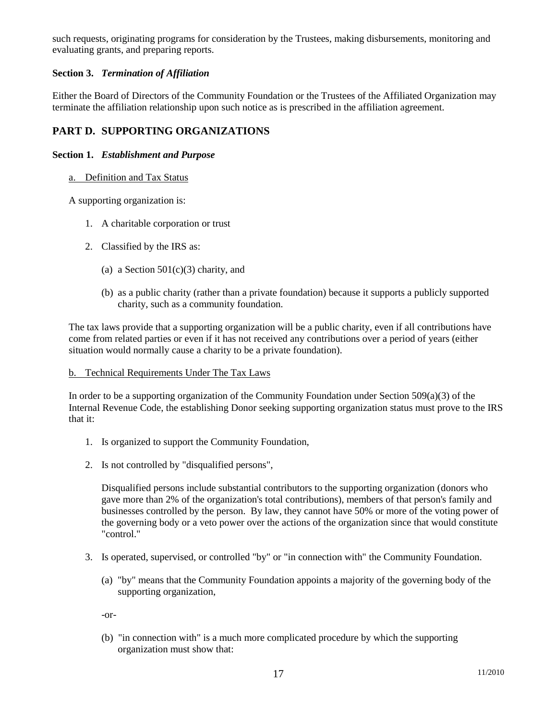such requests, originating programs for consideration by the Trustees, making disbursements, monitoring and evaluating grants, and preparing reports.

# **Section 3.** *Termination of Affiliation*

Either the Board of Directors of the Community Foundation or the Trustees of the Affiliated Organization may terminate the affiliation relationship upon such notice as is prescribed in the affiliation agreement.

# **PART D. SUPPORTING ORGANIZATIONS**

### **Section 1.** *Establishment and Purpose*

a. Definition and Tax Status

A supporting organization is:

- 1. A charitable corporation or trust
- 2. Classified by the IRS as:
	- (a) a Section  $501(c)(3)$  charity, and
	- (b) as a public charity (rather than a private foundation) because it supports a publicly supported charity, such as a community foundation.

The tax laws provide that a supporting organization will be a public charity, even if all contributions have come from related parties or even if it has not received any contributions over a period of years (either situation would normally cause a charity to be a private foundation).

### b. Technical Requirements Under The Tax Laws

In order to be a supporting organization of the Community Foundation under Section 509(a)(3) of the Internal Revenue Code, the establishing Donor seeking supporting organization status must prove to the IRS that it:

- 1. Is organized to support the Community Foundation,
- 2. Is not controlled by "disqualified persons",

Disqualified persons include substantial contributors to the supporting organization (donors who gave more than 2% of the organization's total contributions), members of that person's family and businesses controlled by the person. By law, they cannot have 50% or more of the voting power of the governing body or a veto power over the actions of the organization since that would constitute "control."

- 3. Is operated, supervised, or controlled "by" or "in connection with" the Community Foundation.
	- (a) "by" means that the Community Foundation appoints a majority of the governing body of the supporting organization,

-or-

(b) "in connection with" is a much more complicated procedure by which the supporting organization must show that: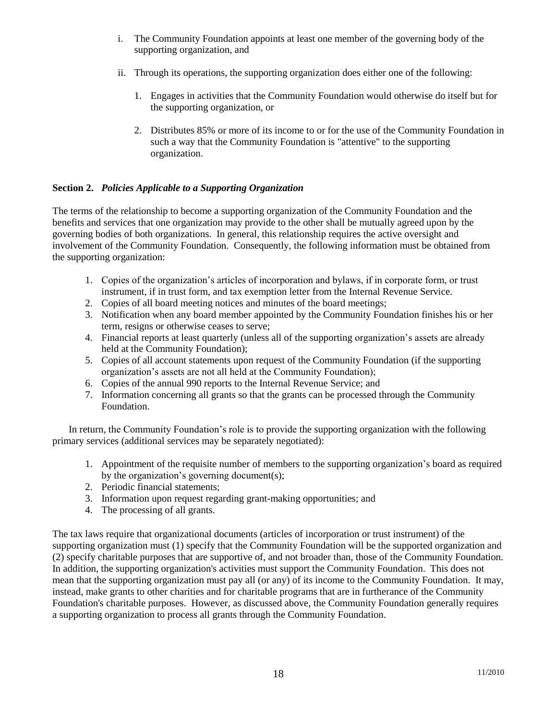- i. The Community Foundation appoints at least one member of the governing body of the supporting organization, and
- ii. Through its operations, the supporting organization does either one of the following:
	- 1. Engages in activities that the Community Foundation would otherwise do itself but for the supporting organization, or
	- 2. Distributes 85% or more of its income to or for the use of the Community Foundation in such a way that the Community Foundation is "attentive" to the supporting organization.

# **Section 2.** *Policies Applicable to a Supporting Organization*

The terms of the relationship to become a supporting organization of the Community Foundation and the benefits and services that one organization may provide to the other shall be mutually agreed upon by the governing bodies of both organizations. In general, this relationship requires the active oversight and involvement of the Community Foundation. Consequently, the following information must be obtained from the supporting organization:

- 1. Copies of the organization's articles of incorporation and bylaws, if in corporate form, or trust instrument, if in trust form, and tax exemption letter from the Internal Revenue Service.
- 2. Copies of all board meeting notices and minutes of the board meetings;
- 3. Notification when any board member appointed by the Community Foundation finishes his or her term, resigns or otherwise ceases to serve;
- 4. Financial reports at least quarterly (unless all of the supporting organization's assets are already held at the Community Foundation);
- 5. Copies of all account statements upon request of the Community Foundation (if the supporting organization's assets are not all held at the Community Foundation);
- 6. Copies of the annual 990 reports to the Internal Revenue Service; and
- 7. Information concerning all grants so that the grants can be processed through the Community Foundation.

In return, the Community Foundation's role is to provide the supporting organization with the following primary services (additional services may be separately negotiated):

- 1. Appointment of the requisite number of members to the supporting organization's board as required by the organization's governing document(s);
- 2. Periodic financial statements;
- 3. Information upon request regarding grant-making opportunities; and
- 4. The processing of all grants.

The tax laws require that organizational documents (articles of incorporation or trust instrument) of the supporting organization must (1) specify that the Community Foundation will be the supported organization and (2) specify charitable purposes that are supportive of, and not broader than, those of the Community Foundation. In addition, the supporting organization's activities must support the Community Foundation. This does not mean that the supporting organization must pay all (or any) of its income to the Community Foundation. It may, instead, make grants to other charities and for charitable programs that are in furtherance of the Community Foundation's charitable purposes. However, as discussed above, the Community Foundation generally requires a supporting organization to process all grants through the Community Foundation.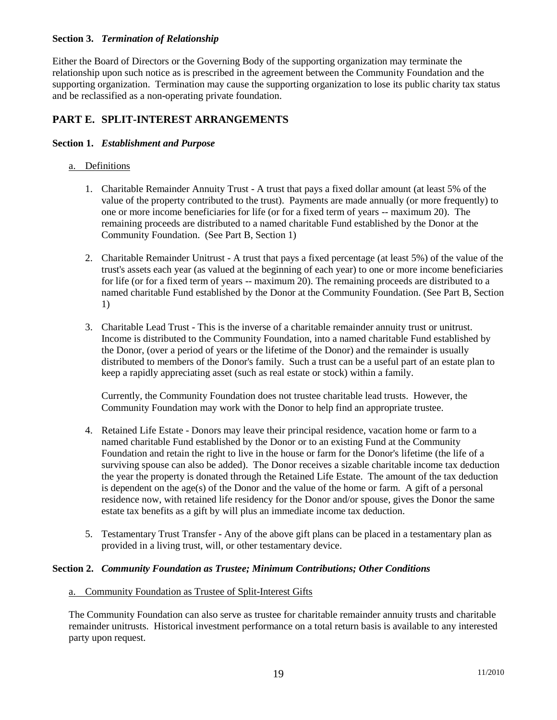### **Section 3.** *Termination of Relationship*

Either the Board of Directors or the Governing Body of the supporting organization may terminate the relationship upon such notice as is prescribed in the agreement between the Community Foundation and the supporting organization. Termination may cause the supporting organization to lose its public charity tax status and be reclassified as a non-operating private foundation.

# **PART E. SPLIT-INTEREST ARRANGEMENTS**

#### **Section 1.** *Establishment and Purpose*

#### a. Definitions

- 1. Charitable Remainder Annuity Trust A trust that pays a fixed dollar amount (at least 5% of the value of the property contributed to the trust). Payments are made annually (or more frequently) to one or more income beneficiaries for life (or for a fixed term of years -- maximum 20). The remaining proceeds are distributed to a named charitable Fund established by the Donor at the Community Foundation. (See Part B, Section 1)
- 2. Charitable Remainder Unitrust A trust that pays a fixed percentage (at least 5%) of the value of the trust's assets each year (as valued at the beginning of each year) to one or more income beneficiaries for life (or for a fixed term of years -- maximum 20). The remaining proceeds are distributed to a named charitable Fund established by the Donor at the Community Foundation. (See Part B, Section 1)
- 3. Charitable Lead Trust This is the inverse of a charitable remainder annuity trust or unitrust. Income is distributed to the Community Foundation, into a named charitable Fund established by the Donor, (over a period of years or the lifetime of the Donor) and the remainder is usually distributed to members of the Donor's family. Such a trust can be a useful part of an estate plan to keep a rapidly appreciating asset (such as real estate or stock) within a family.

Currently, the Community Foundation does not trustee charitable lead trusts. However, the Community Foundation may work with the Donor to help find an appropriate trustee.

- 4. Retained Life Estate Donors may leave their principal residence, vacation home or farm to a named charitable Fund established by the Donor or to an existing Fund at the Community Foundation and retain the right to live in the house or farm for the Donor's lifetime (the life of a surviving spouse can also be added). The Donor receives a sizable charitable income tax deduction the year the property is donated through the Retained Life Estate. The amount of the tax deduction is dependent on the age(s) of the Donor and the value of the home or farm. A gift of a personal residence now, with retained life residency for the Donor and/or spouse, gives the Donor the same estate tax benefits as a gift by will plus an immediate income tax deduction.
- 5. Testamentary Trust Transfer Any of the above gift plans can be placed in a testamentary plan as provided in a living trust, will, or other testamentary device.

#### **Section 2.** *Community Foundation as Trustee; Minimum Contributions; Other Conditions*

#### a. Community Foundation as Trustee of Split-Interest Gifts

The Community Foundation can also serve as trustee for charitable remainder annuity trusts and charitable remainder unitrusts. Historical investment performance on a total return basis is available to any interested party upon request.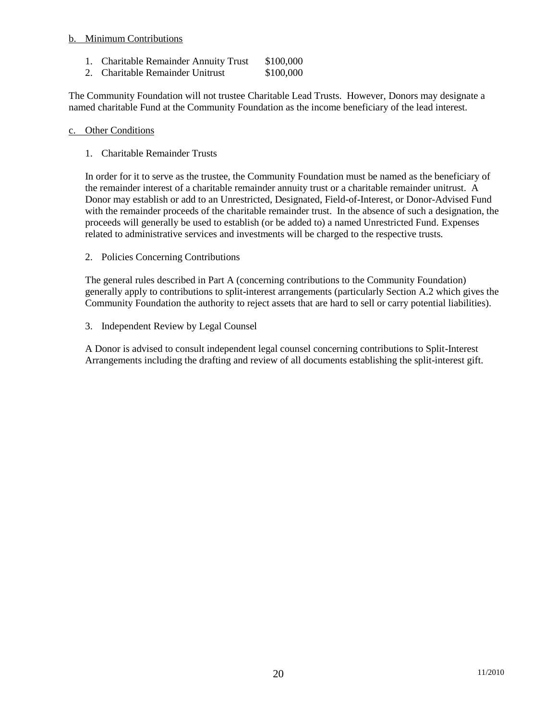### b. Minimum Contributions

- 1. Charitable Remainder Annuity Trust \$100,000
- 2. Charitable Remainder Unitrust \$100,000

The Community Foundation will not trustee Charitable Lead Trusts. However, Donors may designate a named charitable Fund at the Community Foundation as the income beneficiary of the lead interest.

#### c. Other Conditions

1. Charitable Remainder Trusts

In order for it to serve as the trustee, the Community Foundation must be named as the beneficiary of the remainder interest of a charitable remainder annuity trust or a charitable remainder unitrust. A Donor may establish or add to an Unrestricted, Designated, Field-of-Interest, or Donor-Advised Fund with the remainder proceeds of the charitable remainder trust. In the absence of such a designation, the proceeds will generally be used to establish (or be added to) a named Unrestricted Fund. Expenses related to administrative services and investments will be charged to the respective trusts.

2. Policies Concerning Contributions

The general rules described in Part A (concerning contributions to the Community Foundation) generally apply to contributions to split-interest arrangements (particularly Section A.2 which gives the Community Foundation the authority to reject assets that are hard to sell or carry potential liabilities).

3. Independent Review by Legal Counsel

A Donor is advised to consult independent legal counsel concerning contributions to Split-Interest Arrangements including the drafting and review of all documents establishing the split-interest gift.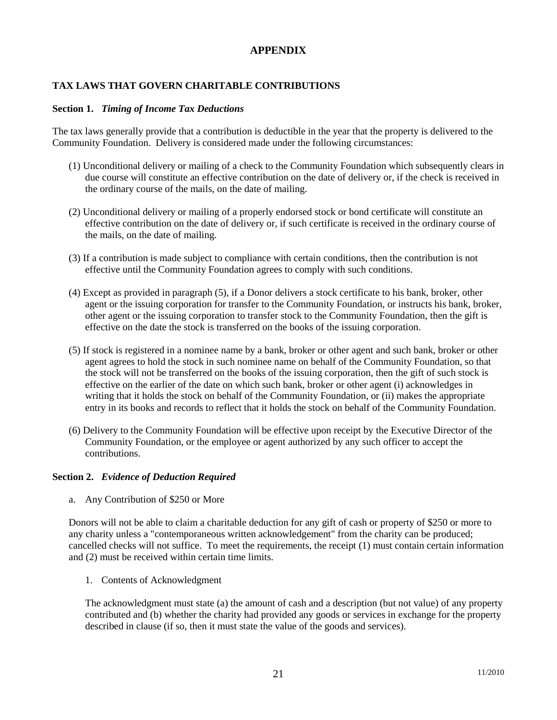# **APPENDIX**

# **TAX LAWS THAT GOVERN CHARITABLE CONTRIBUTIONS**

### **Section 1.** *Timing of Income Tax Deductions*

The tax laws generally provide that a contribution is deductible in the year that the property is delivered to the Community Foundation. Delivery is considered made under the following circumstances:

- (1) Unconditional delivery or mailing of a check to the Community Foundation which subsequently clears in due course will constitute an effective contribution on the date of delivery or, if the check is received in the ordinary course of the mails, on the date of mailing.
- (2) Unconditional delivery or mailing of a properly endorsed stock or bond certificate will constitute an effective contribution on the date of delivery or, if such certificate is received in the ordinary course of the mails, on the date of mailing.
- (3) If a contribution is made subject to compliance with certain conditions, then the contribution is not effective until the Community Foundation agrees to comply with such conditions.
- (4) Except as provided in paragraph (5), if a Donor delivers a stock certificate to his bank, broker, other agent or the issuing corporation for transfer to the Community Foundation, or instructs his bank, broker, other agent or the issuing corporation to transfer stock to the Community Foundation, then the gift is effective on the date the stock is transferred on the books of the issuing corporation.
- (5) If stock is registered in a nominee name by a bank, broker or other agent and such bank, broker or other agent agrees to hold the stock in such nominee name on behalf of the Community Foundation, so that the stock will not be transferred on the books of the issuing corporation, then the gift of such stock is effective on the earlier of the date on which such bank, broker or other agent (i) acknowledges in writing that it holds the stock on behalf of the Community Foundation, or (ii) makes the appropriate entry in its books and records to reflect that it holds the stock on behalf of the Community Foundation.
- (6) Delivery to the Community Foundation will be effective upon receipt by the Executive Director of the Community Foundation, or the employee or agent authorized by any such officer to accept the contributions.

# **Section 2.** *Evidence of Deduction Required*

a. Any Contribution of \$250 or More

Donors will not be able to claim a charitable deduction for any gift of cash or property of \$250 or more to any charity unless a "contemporaneous written acknowledgement" from the charity can be produced; cancelled checks will not suffice. To meet the requirements, the receipt (1) must contain certain information and (2) must be received within certain time limits.

1. Contents of Acknowledgment

The acknowledgment must state (a) the amount of cash and a description (but not value) of any property contributed and (b) whether the charity had provided any goods or services in exchange for the property described in clause (if so, then it must state the value of the goods and services).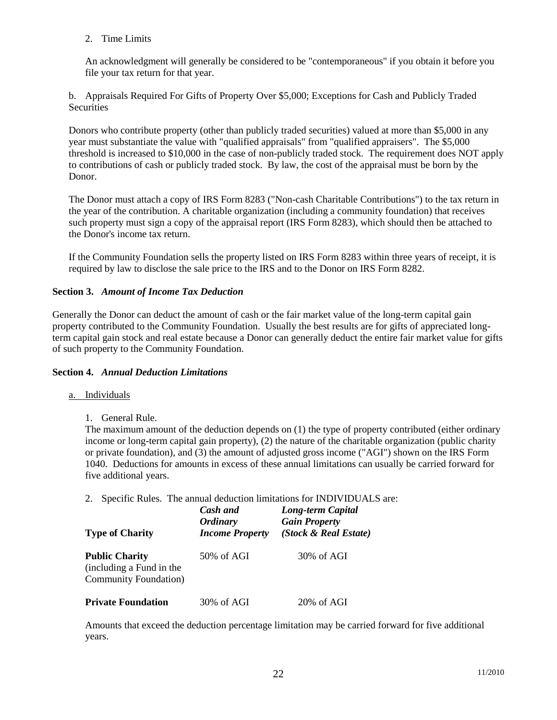2. Time Limits

An acknowledgment will generally be considered to be "contemporaneous" if you obtain it before you file your tax return for that year.

b. Appraisals Required For Gifts of Property Over \$5,000; Exceptions for Cash and Publicly Traded **Securities** 

Donors who contribute property (other than publicly traded securities) valued at more than \$5,000 in any year must substantiate the value with "qualified appraisals" from "qualified appraisers". The \$5,000 threshold is increased to \$10,000 in the case of non-publicly traded stock. The requirement does NOT apply to contributions of cash or publicly traded stock. By law, the cost of the appraisal must be born by the Donor.

The Donor must attach a copy of IRS Form 8283 ("Non-cash Charitable Contributions") to the tax return in the year of the contribution. A charitable organization (including a community foundation) that receives such property must sign a copy of the appraisal report (IRS Form 8283), which should then be attached to the Donor's income tax return.

If the Community Foundation sells the property listed on IRS Form 8283 within three years of receipt, it is required by law to disclose the sale price to the IRS and to the Donor on IRS Form 8282.

### **Section 3.** *Amount of Income Tax Deduction*

Generally the Donor can deduct the amount of cash or the fair market value of the long-term capital gain property contributed to the Community Foundation. Usually the best results are for gifts of appreciated longterm capital gain stock and real estate because a Donor can generally deduct the entire fair market value for gifts of such property to the Community Foundation.

### **Section 4.** *Annual Deduction Limitations*

### a. Individuals

1. General Rule.

The maximum amount of the deduction depends on (1) the type of property contributed (either ordinary income or long-term capital gain property), (2) the nature of the charitable organization (public charity or private foundation), and (3) the amount of adjusted gross income ("AGI") shown on the IRS Form 1040. Deductions for amounts in excess of these annual limitations can usually be carried forward for five additional years.

2. Specific Rules. The annual deduction limitations for INDIVIDUALS are:

| <b>Type of Charity</b>                                                             | Cash and<br><b>Ordinary</b><br><b>Income Property</b> | Long-term Capital<br><b>Gain Property</b><br>(Stock & Real Estate)<br>$30\%$ of AGI |  |
|------------------------------------------------------------------------------------|-------------------------------------------------------|-------------------------------------------------------------------------------------|--|
| <b>Public Charity</b><br>(including a Fund in the<br><b>Community Foundation</b> ) | $50\%$ of AGI                                         |                                                                                     |  |
| <b>Private Foundation</b>                                                          | 30% of AGI                                            | 20% of AGI                                                                          |  |

Amounts that exceed the deduction percentage limitation may be carried forward for five additional years.